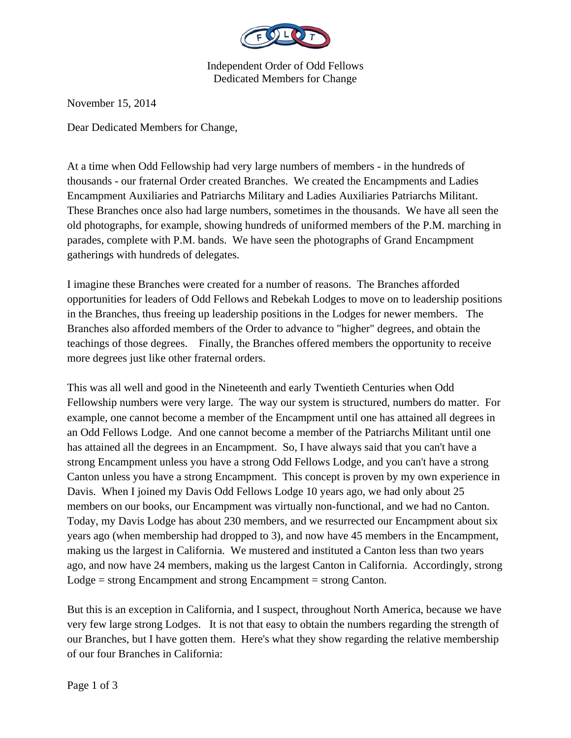

Independent Order of Odd Fellows Dedicated Members for Change

November 15, 2014

Dear Dedicated Members for Change,

At a time when Odd Fellowship had very large numbers of members - in the hundreds of thousands - our fraternal Order created Branches. We created the Encampments and Ladies Encampment Auxiliaries and Patriarchs Military and Ladies Auxiliaries Patriarchs Militant. These Branches once also had large numbers, sometimes in the thousands. We have all seen the old photographs, for example, showing hundreds of uniformed members of the P.M. marching in parades, complete with P.M. bands. We have seen the photographs of Grand Encampment gatherings with hundreds of delegates.

I imagine these Branches were created for a number of reasons. The Branches afforded opportunities for leaders of Odd Fellows and Rebekah Lodges to move on to leadership positions in the Branches, thus freeing up leadership positions in the Lodges for newer members. The Branches also afforded members of the Order to advance to "higher" degrees, and obtain the teachings of those degrees. Finally, the Branches offered members the opportunity to receive more degrees just like other fraternal orders.

This was all well and good in the Nineteenth and early Twentieth Centuries when Odd Fellowship numbers were very large. The way our system is structured, numbers do matter. For example, one cannot become a member of the Encampment until one has attained all degrees in an Odd Fellows Lodge. And one cannot become a member of the Patriarchs Militant until one has attained all the degrees in an Encampment. So, I have always said that you can't have a strong Encampment unless you have a strong Odd Fellows Lodge, and you can't have a strong Canton unless you have a strong Encampment. This concept is proven by my own experience in Davis. When I joined my Davis Odd Fellows Lodge 10 years ago, we had only about 25 members on our books, our Encampment was virtually non-functional, and we had no Canton. Today, my Davis Lodge has about 230 members, and we resurrected our Encampment about six years ago (when membership had dropped to 3), and now have 45 members in the Encampment, making us the largest in California. We mustered and instituted a Canton less than two years ago, and now have 24 members, making us the largest Canton in California. Accordingly, strong Lodge = strong Encampment and strong Encampment = strong Canton.

But this is an exception in California, and I suspect, throughout North America, because we have very few large strong Lodges. It is not that easy to obtain the numbers regarding the strength of our Branches, but I have gotten them. Here's what they show regarding the relative membership of our four Branches in California: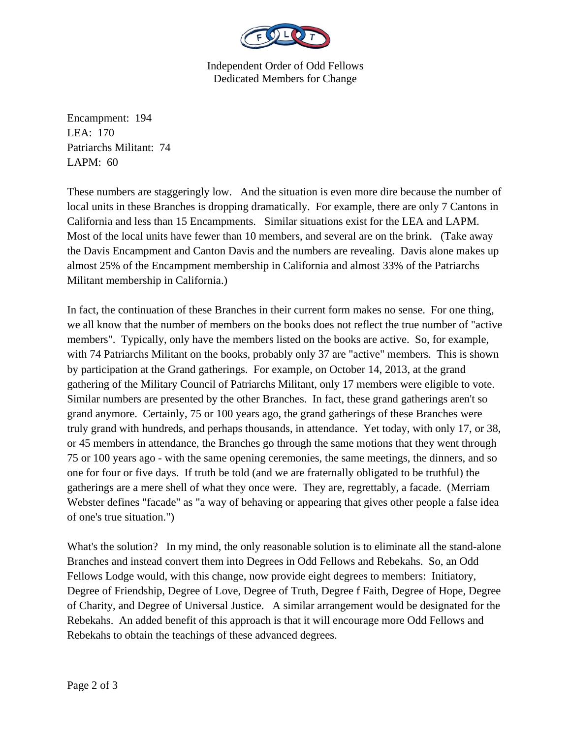

Independent Order of Odd Fellows Dedicated Members for Change

Encampment: 194 LEA: 170 Patriarchs Militant: 74 LAPM: 60

These numbers are staggeringly low. And the situation is even more dire because the number of local units in these Branches is dropping dramatically. For example, there are only 7 Cantons in California and less than 15 Encampments. Similar situations exist for the LEA and LAPM. Most of the local units have fewer than 10 members, and several are on the brink. (Take away the Davis Encampment and Canton Davis and the numbers are revealing. Davis alone makes up almost 25% of the Encampment membership in California and almost 33% of the Patriarchs Militant membership in California.)

In fact, the continuation of these Branches in their current form makes no sense. For one thing, we all know that the number of members on the books does not reflect the true number of "active members". Typically, only have the members listed on the books are active. So, for example, with 74 Patriarchs Militant on the books, probably only 37 are "active" members. This is shown by participation at the Grand gatherings. For example, on October 14, 2013, at the grand gathering of the Military Council of Patriarchs Militant, only 17 members were eligible to vote. Similar numbers are presented by the other Branches. In fact, these grand gatherings aren't so grand anymore. Certainly, 75 or 100 years ago, the grand gatherings of these Branches were truly grand with hundreds, and perhaps thousands, in attendance. Yet today, with only 17, or 38, or 45 members in attendance, the Branches go through the same motions that they went through 75 or 100 years ago - with the same opening ceremonies, the same meetings, the dinners, and so one for four or five days. If truth be told (and we are fraternally obligated to be truthful) the gatherings are a mere shell of what they once were. They are, regrettably, a facade. (Merriam Webster defines "facade" as "a way of behaving or appearing that gives other people a false idea of one's true situation.")

What's the solution? In my mind, the only reasonable solution is to eliminate all the stand-alone Branches and instead convert them into Degrees in Odd Fellows and Rebekahs. So, an Odd Fellows Lodge would, with this change, now provide eight degrees to members: Initiatory, Degree of Friendship, Degree of Love, Degree of Truth, Degree f Faith, Degree of Hope, Degree of Charity, and Degree of Universal Justice. A similar arrangement would be designated for the Rebekahs. An added benefit of this approach is that it will encourage more Odd Fellows and Rebekahs to obtain the teachings of these advanced degrees.